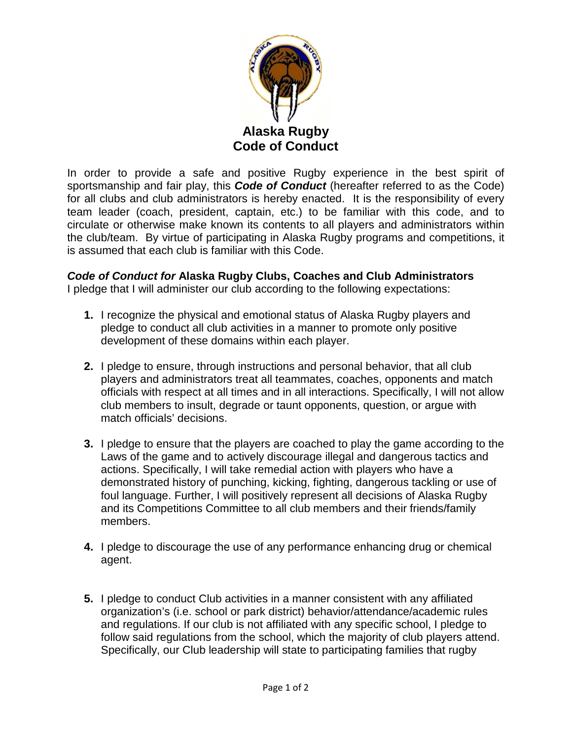

In order to provide a safe and positive Rugby experience in the best spirit of sportsmanship and fair play, this *Code of Conduct* (hereafter referred to as the Code) for all clubs and club administrators is hereby enacted. It is the responsibility of every team leader (coach, president, captain, etc.) to be familiar with this code, and to circulate or otherwise make known its contents to all players and administrators within the club/team. By virtue of participating in Alaska Rugby programs and competitions, it is assumed that each club is familiar with this Code.

## *Code of Conduct for* **Alaska Rugby Clubs, Coaches and Club Administrators**

I pledge that I will administer our club according to the following expectations:

- **1.** I recognize the physical and emotional status of Alaska Rugby players and pledge to conduct all club activities in a manner to promote only positive development of these domains within each player.
- **2.** I pledge to ensure, through instructions and personal behavior, that all club players and administrators treat all teammates, coaches, opponents and match officials with respect at all times and in all interactions. Specifically, I will not allow club members to insult, degrade or taunt opponents, question, or argue with match officials' decisions.
- **3.** I pledge to ensure that the players are coached to play the game according to the Laws of the game and to actively discourage illegal and dangerous tactics and actions. Specifically, I will take remedial action with players who have a demonstrated history of punching, kicking, fighting, dangerous tackling or use of foul language. Further, I will positively represent all decisions of Alaska Rugby and its Competitions Committee to all club members and their friends/family members.
- **4.** I pledge to discourage the use of any performance enhancing drug or chemical agent.
- **5.** I pledge to conduct Club activities in a manner consistent with any affiliated organization's (i.e. school or park district) behavior/attendance/academic rules and regulations. If our club is not affiliated with any specific school, I pledge to follow said regulations from the school, which the majority of club players attend. Specifically, our Club leadership will state to participating families that rugby